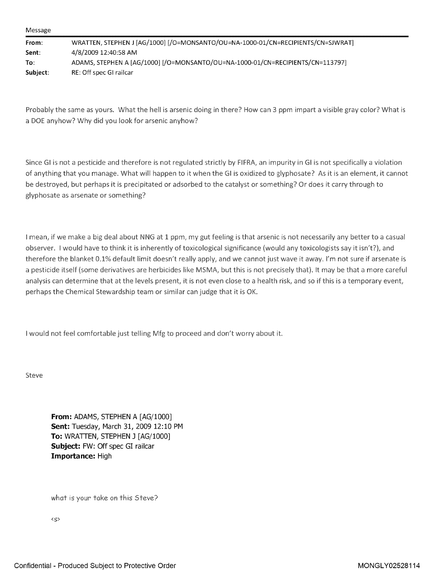| From:    | WRATTEN, STEPHEN J [AG/1000] [/O=MONSANTO/OU=NA-1000-01/CN=RECIPIENTS/CN=SJWRAT] |
|----------|----------------------------------------------------------------------------------|
| Sent:    | 4/8/2009 12:40:58 AM                                                             |
| To:      | ADAMS, STEPHEN A [AG/1000] [/O=MONSANTO/OU=NA-1000-01/CN=RECIPIENTS/CN=113797]   |
| Subiect: | RE: Off spec GI railcar                                                          |

Probably the same as yours. What the hell is arsenic doing in there? How can <sup>3</sup> ppm impart <sup>a</sup> visible gray color? What is <sup>a</sup> DOE anyhow? Why did you look for arsenic anyhow?

Since GI is not a pesticide and therefore is not regulated strictly by FIFRA, an impurity in GI is not specifically a violation of anything that you manage. What will happen to it when the GI is oxidized to [glyphosate?](https://www.baumhedlundlaw.com/) As it is an element, it cannot be destroyed, but perhaps it is precipitated or adsorbed to the catalyst or something? Or does it carry through to glyphosate as arsenate or something?

<sup>I</sup> mean, if we make <sup>a</sup> big deal about NNG at <sup>1</sup> ppm, my gut feeling is that arsenic is not necessarily any better to <sup>a</sup> casual observer. <sup>I</sup> would have to think it is inherently of toxicological significance (would any toxicologists say it isn't?), and therefore the blanket 0.1% default limit doesn't really apply, and we cannot just wave it away. I'm not sure if arsenate is <sup>a</sup> pesticide itself (some derivatives are herbicides like MSMA, but this is not precisely that). It may be that <sup>a</sup> more careful analysis can determine that at the levels present, it is not even close to a health risk, and so if this is a temporary event, perhaps the Chemical Stewardship team or similar can judge that it is OK.

I would not feel comfortable just telling Mfg to proceed and don't worry about it.

Steve

From: ADAMS, STEPHEN A [AG/1000] Sent: Tuesday, March 31, 2009 12:10 PM To: WRATTEN, STEPHEN <sup>3</sup> [AG/1000] Subject: FW: Off spec GI railcar Importance: High

what is your take on this Steve?

<5>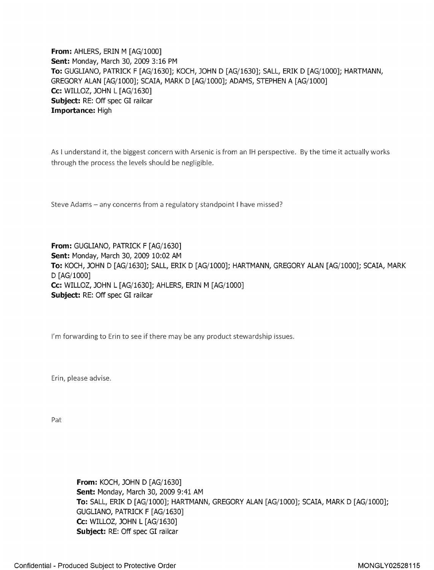**From: AHLERS, ERIN M [AG/1000]** Sent: Monday, March 30, 2009 3:16 PM To: GUGLIANO, PATRICK <sup>F</sup> [AG/1630]; KOCH, JOHN D [AG/1630]; SALL, ERIK D [AG/1000]; HARTMANN, GREGORY ALAN [AG/1000]; SCAIA, MARK D [AG/1000]; ADAMS, STEPHEN A [AG/1000] Cc: WILLOZ, JOHN <sup>L</sup> [AG/1630] Subject: RE: Off spec GI railcar Importance: High

As I understand it, the biggest concern with Arsenic is from an IH perspective. By the time it actually works through the process the levels should be negligible.

Steve Adams - any concerns from a regulatory standpoint I have missed?

From: GUGLIANO, PATRICK F [AG/1630] Sent: Monday, March 30, 2009 10:02 AM To: KOCH, JOHN D [AG/1630]; SALL, ERIK D [AG/1000]; HARTMANN, GREGORY ALAN [AG/1000]; SCAIA, MARK D [AG/1000] Cc: WILLOZ, JOHN <sup>L</sup> [AG/1630]; AHLERS, ERIN M [AG/1000] Subject: RE: Off spec GI railcar

I'm forwarding to Erin to see if there may be any product stewardship issues.

Erin, please advise.

Pat:

From: KOCH, JOHN D [AG/1630] Sent: Monday, March 30, 2009 9:41 AM To: SALL, ERIK D [AG/1000]; HARTMANN, GREGORY ALAN [AG/1000]; SCAIA, MARK D [AG/1000]; GUGLIANO, PATRICK F [AG/1630] Cc: WILLOZ, JOHN <sup>L</sup> [AG/1630] Subject: RE: Off spec GI railcar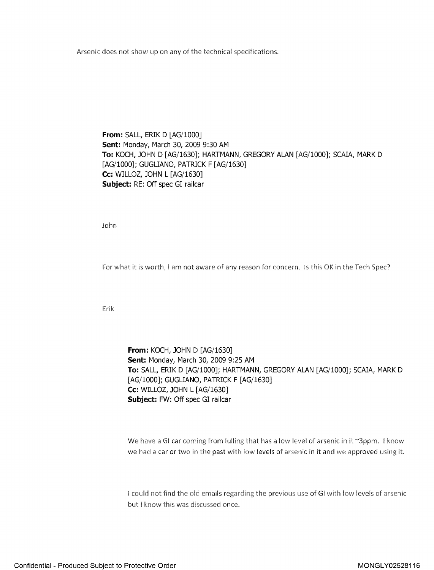Arsenic does not show up on any of the technical specifications.

From: SALL, ERIK D [AG/1000] Sent: Monday, March 30, 2009 9:30 AM To: KOCH, JOHN D [AG/1630]; HARTMANN, GREGORY ALAN [AG/1000]; SCAIA, MARK D [AG/1000]; GUGLIANO, PATRICK F [AG/1630] Cc: WILLOZ, JOHN <sup>L</sup> [AG/1630] Subject: RE: Off spec GI railcar

.John

For what it is worth, <sup>I</sup> am not aware of any reason for concern. Is this OK in the Tech Spec?

Erik

**From: KOCH, JOHN D [AG/1630]** Sent: Monday, March 30, 2009 9:25 AM To: SALL, ERIK D [AG/1000]; HARTMANN, GREGORY ALAN [AG/1000]; SCAIA, MARK D [AG/1000]; GUGLIANO, PATRICK F [AG/1630] Cc: WILLOZ, JOHN <sup>L</sup> [AG/1630] Subject: FW: Off spec GI railcar

We have a GI car coming from lulling that has a low level of arsenic in it ~3ppm. I know we had <sup>a</sup> car or two in the past with low levels of arsenic in it and we approved using it.

I could not find the old emails regarding the previous use of GI with low levels of arsenic but <sup>I</sup> know this was discussed once.